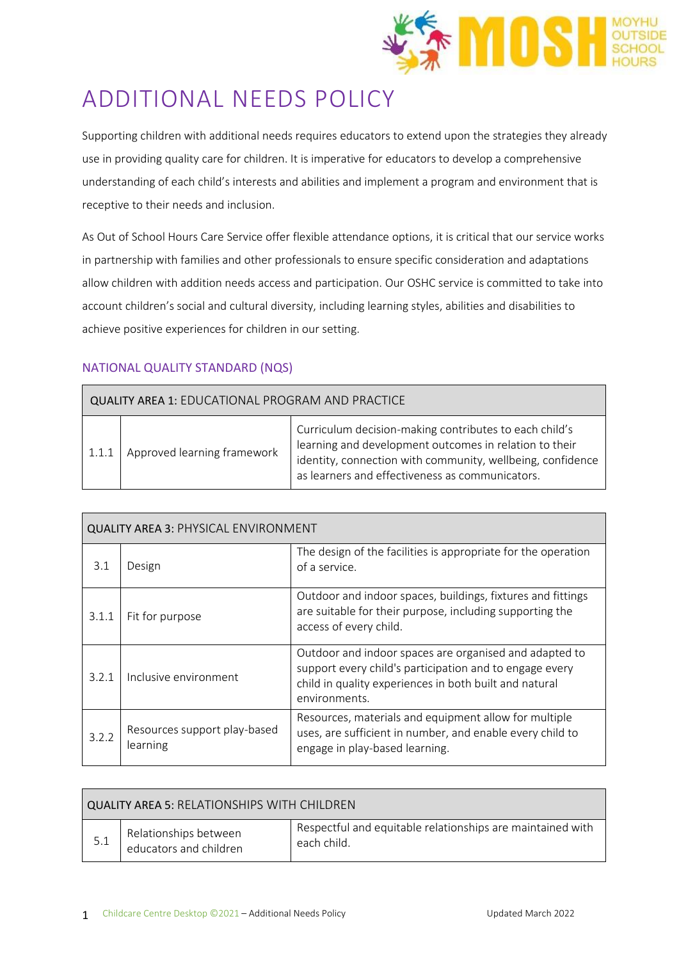

# ADDITIONAL NEEDS POLICY

Supporting children with additional needs requires educators to extend upon the strategies they already use in providing quality care for children. It is imperative for educators to develop a comprehensive understanding of each child's interests and abilities and implement a program and environment that is receptive to their needs and inclusion.

As Out of School Hours Care Service offer flexible attendance options, it is critical that our service works in partnership with families and other professionals to ensure specific consideration and adaptations allow children with addition needs access and participation. Our OSHC service is committed to take into account children's social and cultural diversity, including learning styles, abilities and disabilities to achieve positive experiences for children in our setting.

# NATIONAL QUALITY STANDARD (NQS)

| <b>QUALITY AREA 1: EDUCATIONAL PROGRAM AND PRACTICE</b> |                             |                                                                                                                                                                                                                                   |  |
|---------------------------------------------------------|-----------------------------|-----------------------------------------------------------------------------------------------------------------------------------------------------------------------------------------------------------------------------------|--|
| 1.1.1                                                   | Approved learning framework | Curriculum decision-making contributes to each child's<br>learning and development outcomes in relation to their<br>identity, connection with community, wellbeing, confidence<br>as learners and effectiveness as communicators. |  |

| <b>QUALITY AREA 3: PHYSICAL ENVIRONMENT</b> |                                          |                                                                                                                                                                                              |  |
|---------------------------------------------|------------------------------------------|----------------------------------------------------------------------------------------------------------------------------------------------------------------------------------------------|--|
| 3.1                                         | Design                                   | The design of the facilities is appropriate for the operation<br>of a service.                                                                                                               |  |
| 3.1.1                                       | Fit for purpose                          | Outdoor and indoor spaces, buildings, fixtures and fittings<br>are suitable for their purpose, including supporting the<br>access of every child.                                            |  |
| 3.2.1                                       | Inclusive environment                    | Outdoor and indoor spaces are organised and adapted to<br>support every child's participation and to engage every<br>child in quality experiences in both built and natural<br>environments. |  |
| 3.2.2                                       | Resources support play-based<br>learning | Resources, materials and equipment allow for multiple<br>uses, are sufficient in number, and enable every child to<br>engage in play-based learning.                                         |  |

| QUALITY AREA 5: RELATIONSHIPS WITH CHILDREN |                                                 |                                                                            |  |
|---------------------------------------------|-------------------------------------------------|----------------------------------------------------------------------------|--|
|                                             | Relationships between<br>educators and children | Respectful and equitable relationships are maintained with<br>-each child. |  |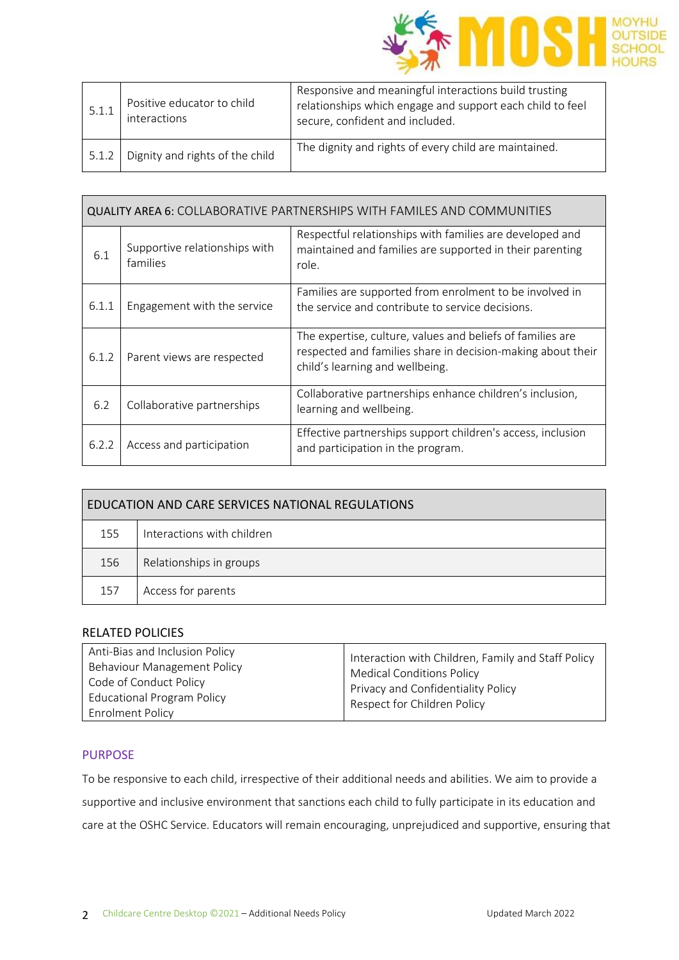

| 5.1.1 | Positive educator to child<br>interactions | Responsive and meaningful interactions build trusting<br>relationships which engage and support each child to feel<br>secure, confident and included. |
|-------|--------------------------------------------|-------------------------------------------------------------------------------------------------------------------------------------------------------|
| 5.1.2 | Dignity and rights of the child            | The dignity and rights of every child are maintained.                                                                                                 |

| <b>QUALITY AREA 6: COLLABORATIVE PARTNERSHIPS WITH FAMILES AND COMMUNITIES</b> |                                           |                                                                                                                                                              |
|--------------------------------------------------------------------------------|-------------------------------------------|--------------------------------------------------------------------------------------------------------------------------------------------------------------|
| 6.1                                                                            | Supportive relationships with<br>families | Respectful relationships with families are developed and<br>maintained and families are supported in their parenting<br>role.                                |
| 6.1.1                                                                          | Engagement with the service               | Families are supported from enrolment to be involved in<br>the service and contribute to service decisions.                                                  |
| 6.1.2                                                                          | Parent views are respected                | The expertise, culture, values and beliefs of families are<br>respected and families share in decision-making about their<br>child's learning and wellbeing. |
| 6.2                                                                            | Collaborative partnerships                | Collaborative partnerships enhance children's inclusion,<br>learning and wellbeing.                                                                          |
| 6.2.2                                                                          | Access and participation                  | Effective partnerships support children's access, inclusion<br>and participation in the program.                                                             |

| EDUCATION AND CARE SERVICES NATIONAL REGULATIONS |                            |  |
|--------------------------------------------------|----------------------------|--|
| 155                                              | Interactions with children |  |
| 156                                              | Relationships in groups    |  |
| 157                                              | Access for parents         |  |

## RELATED POLICIES

#### PURPOSE

To be responsive to each child, irrespective of their additional needs and abilities. We aim to provide a supportive and inclusive environment that sanctions each child to fully participate in its education and care at the OSHC Service. Educators will remain encouraging, unprejudiced and supportive, ensuring that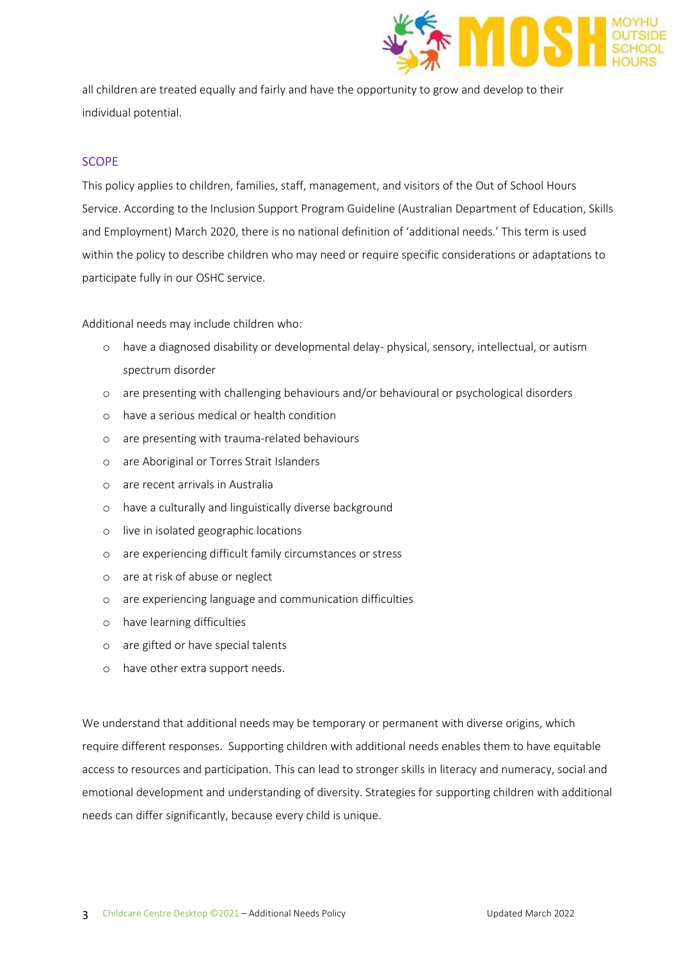

all children are treated equally and fairly and have the opportunity to grow and develop to their individual potential.

## SCOPE

This policy applies to children, families, staff, management, and visitors of the Out of School Hours Service. According to the Inclusion Support Program Guideline (Australian Department of Education, Skills and Employment) March 2020, there is no national definition of 'additional needs.' This term is used within the policy to describe children who may need or require specific considerations or adaptations to participate fully in our OSHC service.

Additional needs may include children who:

- o have a diagnosed disability or developmental delay- physical, sensory, intellectual, or autism spectrum disorder
- o are presenting with challenging behaviours and/or behavioural or psychological disorders
- o have a serious medical or health condition
- o are presenting with trauma-related behaviours
- o are Aboriginal or Torres Strait Islanders
- o are recent arrivals in Australia
- o have a culturally and linguistically diverse background
- o live in isolated geographic locations
- o are experiencing difficult family circumstances or stress
- o are at risk of abuse or neglect
- o are experiencing language and communication difficulties
- o have learning difficulties
- o are gifted or have special talents
- o have other extra support needs.

We understand that additional needs may be temporary or permanent with diverse origins, which require different responses. Supporting children with additional needs enables them to have equitable access to resources and participation. This can lead to stronger skills in literacy and numeracy, social and emotional development and understanding of diversity. Strategies for supporting children with additional needs can differ significantly, because every child is unique.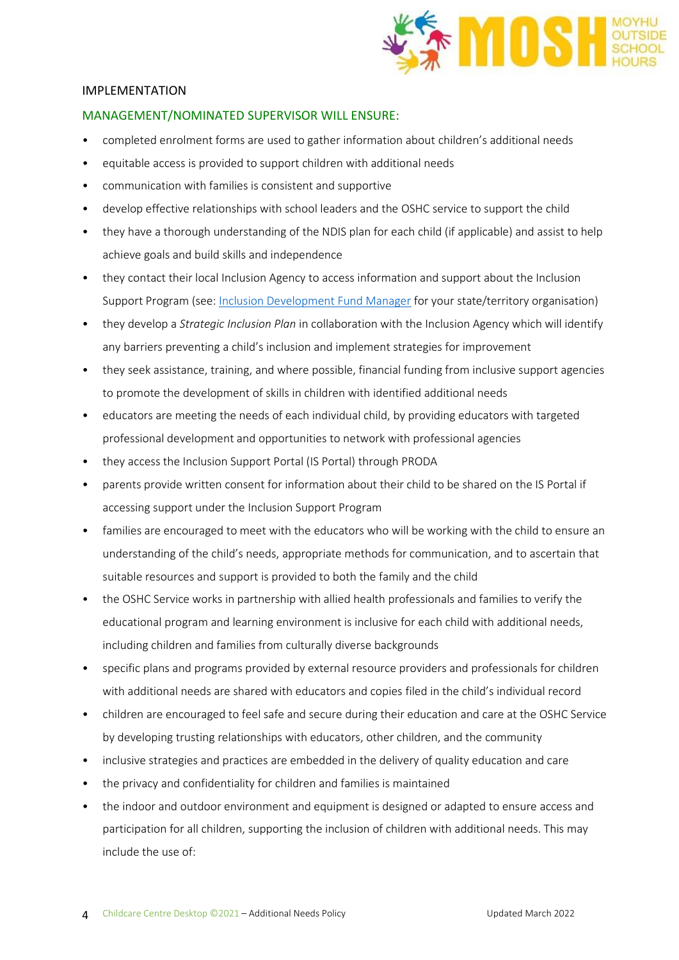

## IMPLEMENTATION

## MANAGEMENT/NOMINATED SUPERVISOR WILL ENSURE:

- completed enrolment forms are used to gather information about children's additional needs
- equitable access is provided to support children with additional needs
- communication with families is consistent and supportive
- develop effective relationships with school leaders and the OSHC service to support the child
- they have a thorough understanding of the NDIS plan for each child (if applicable) and assist to help achieve goals and build skills and independence
- they contact their local Inclusion Agency to access information and support about the Inclusion Support Program (see: [Inclusion Development Fund Manager](https://www.education.gov.au/inclusion-support-program-isp) for your state/territory organisation)
- they develop a *Strategic Inclusion Plan* in collaboration with the Inclusion Agency which will identify any barriers preventing a child's inclusion and implement strategies for improvement
- they seek assistance, training, and where possible, financial funding from inclusive support agencies to promote the development of skills in children with identified additional needs
- educators are meeting the needs of each individual child, by providing educators with targeted professional development and opportunities to network with professional agencies
- they access the Inclusion Support Portal (IS Portal) through PRODA
- parents provide written consent for information about their child to be shared on the IS Portal if accessing support under the Inclusion Support Program
- families are encouraged to meet with the educators who will be working with the child to ensure an understanding of the child's needs, appropriate methods for communication, and to ascertain that suitable resources and support is provided to both the family and the child
- the OSHC Service works in partnership with allied health professionals and families to verify the educational program and learning environment is inclusive for each child with additional needs, including children and families from culturally diverse backgrounds
- specific plans and programs provided by external resource providers and professionals for children with additional needs are shared with educators and copies filed in the child's individual record
- children are encouraged to feel safe and secure during their education and care at the OSHC Service by developing trusting relationships with educators, other children, and the community
- inclusive strategies and practices are embedded in the delivery of quality education and care
- the privacy and confidentiality for children and families is maintained
- the indoor and outdoor environment and equipment is designed or adapted to ensure access and participation for all children, supporting the inclusion of children with additional needs. This may include the use of: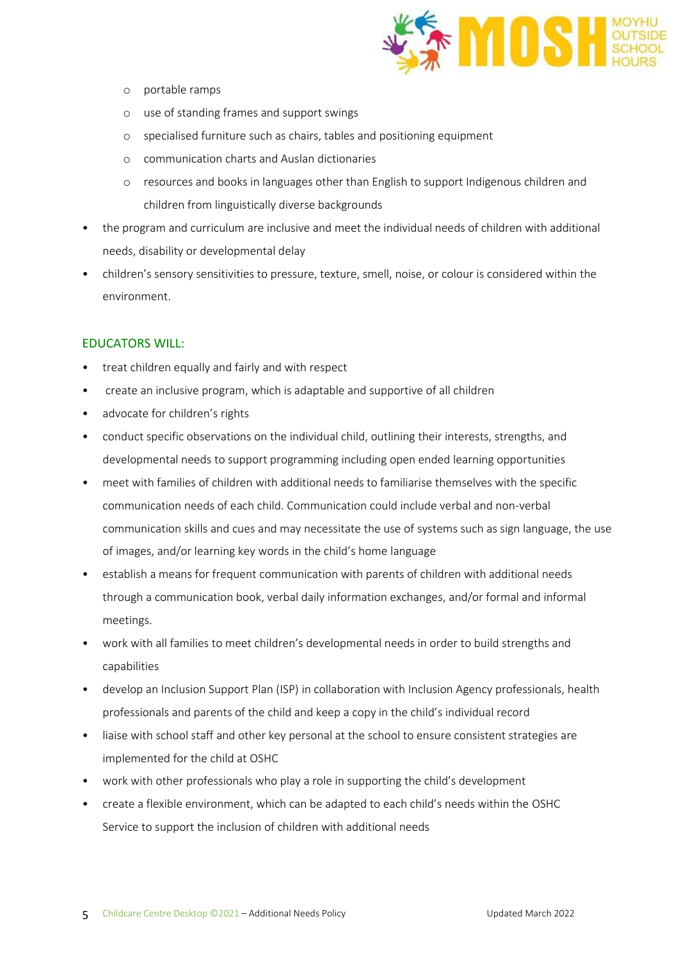

- o portable ramps
- o use of standing frames and support swings
- o specialised furniture such as chairs, tables and positioning equipment
- o communication charts and Auslan dictionaries
- o resources and books in languages other than English to support Indigenous children and children from linguistically diverse backgrounds
- the program and curriculum are inclusive and meet the individual needs of children with additional needs, disability or developmental delay
- children's sensory sensitivities to pressure, texture, smell, noise, or colour is considered within the environment.

#### EDUCATORS WILL:

- treat children equally and fairly and with respect
- create an inclusive program, which is adaptable and supportive of all children
- advocate for children's rights
- conduct specific observations on the individual child, outlining their interests, strengths, and developmental needs to support programming including open ended learning opportunities
- meet with families of children with additional needs to familiarise themselves with the specific communication needs of each child. Communication could include verbal and non-verbal communication skills and cues and may necessitate the use of systems such as sign language, the use of images, and/or learning key words in the child's home language
- establish a means for frequent communication with parents of children with additional needs through a communication book, verbal daily information exchanges, and/or formal and informal meetings.
- work with all families to meet children's developmental needs in order to build strengths and capabilities
- develop an Inclusion Support Plan (ISP) in collaboration with Inclusion Agency professionals, health professionals and parents of the child and keep a copy in the child's individual record
- liaise with school staff and other key personal at the school to ensure consistent strategies are implemented for the child at OSHC
- work with other professionals who play a role in supporting the child's development
- create a flexible environment, which can be adapted to each child's needs within the OSHC Service to support the inclusion of children with additional needs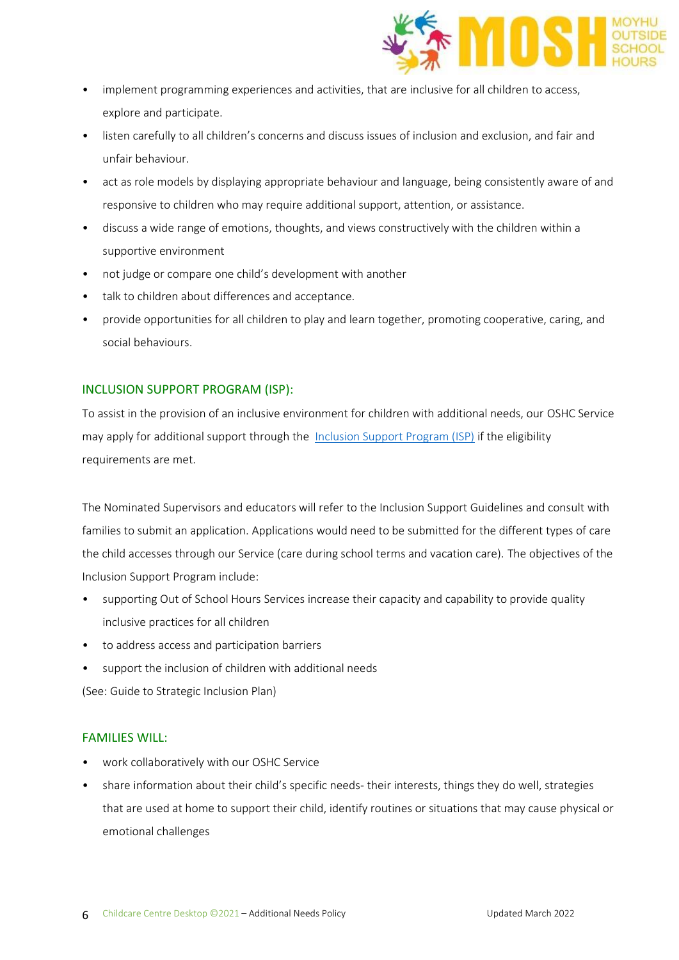

- implement programming experiences and activities, that are inclusive for all children to access, explore and participate.
- listen carefully to all children's concerns and discuss issues of inclusion and exclusion, and fair and unfair behaviour.
- act as role models by displaying appropriate behaviour and language, being consistently aware of and responsive to children who may require additional support, attention, or assistance.
- discuss a wide range of emotions, thoughts, and views constructively with the children within a supportive environment
- not judge or compare one child's development with another
- talk to children about differences and acceptance.
- provide opportunities for all children to play and learn together, promoting cooperative, caring, and social behaviours.

# INCLUSION SUPPORT PROGRAM (ISP):

To assist in the provision of an inclusive environment for children with additional needs, our OSHC Service may apply for additional support through the [Inclusion Support Program \(ISP\)](https://www.education.gov.au/inclusion-support-program-isp) if the eligibility requirements are met.

The Nominated Supervisors and educators will refer to the Inclusion Support Guidelines and consult with families to submit an application. Applications would need to be submitted for the different types of care the child accesses through our Service (care during school terms and vacation care). The objectives of the Inclusion Support Program include:

- supporting Out of School Hours Services increase their capacity and capability to provide quality inclusive practices for all children
- to address access and participation barriers
- support the inclusion of children with additional needs

(See: Guide to Strategic Inclusion Plan)

## FAMILIES WILL:

- work collaboratively with our OSHC Service
- share information about their child's specific needs-their interests, things they do well, strategies that are used at home to support their child, identify routines or situations that may cause physical or emotional challenges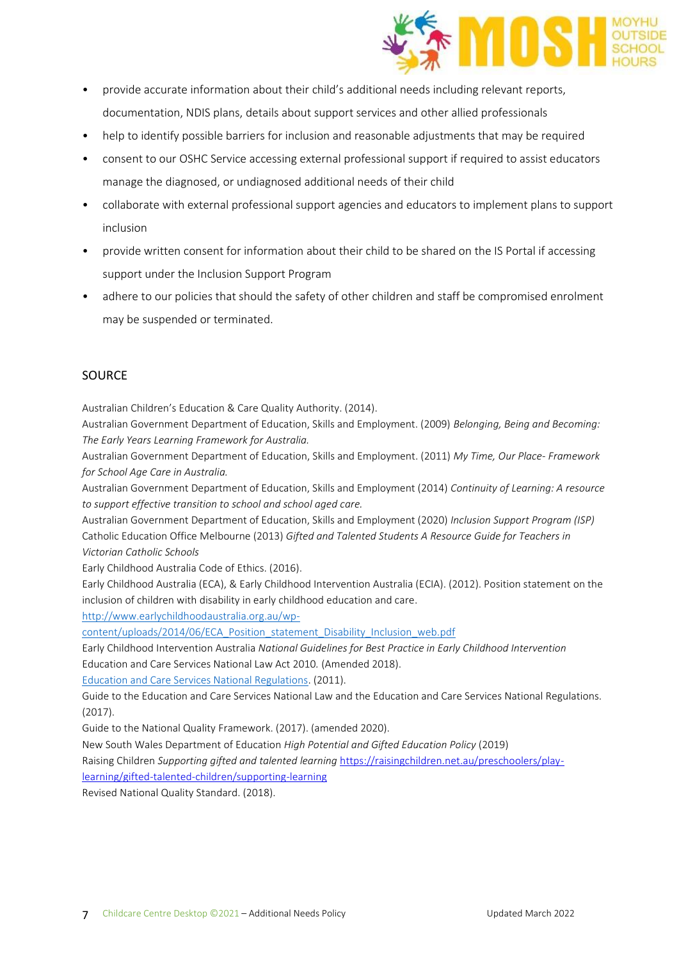

- provide accurate information about their child's additional needs including relevant reports, documentation, NDIS plans, details about support services and other allied professionals
- help to identify possible barriers for inclusion and reasonable adjustments that may be required
- consent to our OSHC Service accessing external professional support if required to assist educators manage the diagnosed, or undiagnosed additional needs of their child
- collaborate with external professional support agencies and educators to implement plans to support inclusion
- provide written consent for information about their child to be shared on the IS Portal if accessing support under the Inclusion Support Program
- adhere to our policies that should the safety of other children and staff be compromised enrolment may be suspended or terminated.

## SOURCE

Australian Children's Education & Care Quality Authority. (2014).

Australian Government Department of Education, Skills and Employment. (2009) *Belonging, Being and Becoming: The Early Years Learning Framework for Australia.*

Australian Government Department of Education, Skills and Employment. (2011) *My Time, Our Place- Framework for School Age Care in Australia.*

Australian Government Department of Education, Skills and Employment (2014) *Continuity of Learning: A resource to support effective transition to school and school aged care.* 

Australian Government Department of Education, Skills and Employment (2020) *Inclusion Support Program (ISP)*  Catholic Education Office Melbourne (2013) *Gifted and Talented Students A Resource Guide for Teachers in Victorian Catholic Schools*

Early Childhood Australia Code of Ethics. (2016).

Early Childhood Australia (ECA), & Early Childhood Intervention Australia (ECIA). (2012). Position statement on the inclusion of children with disability in early childhood education and care.

[http://www.earlychildhoodaustralia.org.au/wp-](http://www.earlychildhoodaustralia.org.au/wp-content/uploads/2014/06/ECA_Position_statement_Disability_Inclusion_web.pdf)

[content/uploads/2014/06/ECA\\_Position\\_statement\\_Disability\\_Inclusion\\_web.pdf](http://www.earlychildhoodaustralia.org.au/wp-content/uploads/2014/06/ECA_Position_statement_Disability_Inclusion_web.pdf)

Early Childhood Intervention Australia *National Guidelines for Best Practice in Early Childhood Intervention* Education and Care Services National Law Act 2010*.* (Amended 2018).

[Education and Care Services National Regulations.](https://www.legislation.nsw.gov.au/view/html/inforce/current/sl-2011-0653?query=((Repealed%3DN+AND+PrintType%3D%22act.reprint%22+AND+PitValid%3D@pointInTime(20200831000000))+OR+(Repealed%3DN+AND+PrintType%3D%22reprint%22+AND+PitValid%3D@pointInTime(20200831000000))+OR+(Repealed%3DN+AND+(PrintType%3D%22epi.reprint%22+OR+PrintType%3D%22epi.electronic%22)+AND+PitValid%3D@pointInTime(20200831000000)))+AND+Content%3D(%22early%22+AND+%22childhood%22)&dQuery=Document+Types%3D%22%3Cspan+class%3D%27dq-highlight%27%3EActs%3C/span%3E,+%3Cspan+class%3D%27dq-highlight%27%3ERegulations%3C/span%3E,+%3Cspan+class%3D%27dq-highlight%27%3EEPIs%3C/span%3E%22,+Search+In%3D%22%3Cspan+class%3D%27dq-highlight%27%3EAll+Content%3C/span%3E%22,+All+Words%3D%22%3Cspan+class%3D%27dq-highlight%27%3Eearly+childhood%3C/span%3E%22,+Point+In+Time%3D%22%3Cspan+class%3D%27dq-highlight%27%3E31/08/2020%3C/span%3E%22) (2011).

Guide to the Education and Care Services National Law and the Education and Care Services National Regulations. (2017).

Guide to the National Quality Framework. (2017). (amended 2020).

New South Wales Department of Education *High Potential and Gifted Education Policy* (2019)

Raising Children *Supporting gifted and talented learning* [https://raisingchildren.net.au/preschoolers/play-](https://raisingchildren.net.au/preschoolers/play-learning/gifted-talented-children/supporting-learning)

[learning/gifted-talented-children/supporting-learning](https://raisingchildren.net.au/preschoolers/play-learning/gifted-talented-children/supporting-learning)

Revised National Quality Standard. (2018).